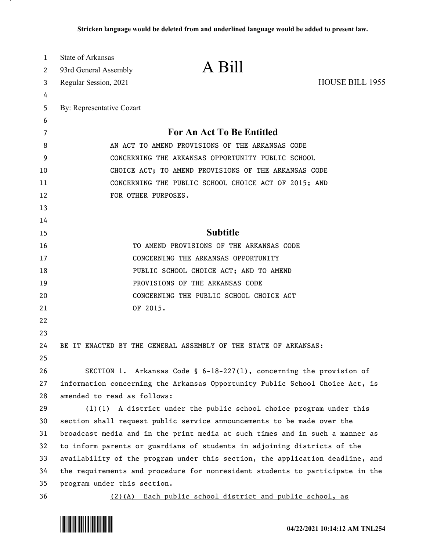| 1  | <b>State of Arkansas</b>                             |                                                                               |                        |
|----|------------------------------------------------------|-------------------------------------------------------------------------------|------------------------|
| 2  | 93rd General Assembly                                | A Bill                                                                        |                        |
| 3  | Regular Session, 2021                                |                                                                               | <b>HOUSE BILL 1955</b> |
| 4  |                                                      |                                                                               |                        |
| 5  | By: Representative Cozart                            |                                                                               |                        |
| 6  |                                                      |                                                                               |                        |
| 7  |                                                      | For An Act To Be Entitled                                                     |                        |
| 8  | AN ACT TO AMEND PROVISIONS OF THE ARKANSAS CODE      |                                                                               |                        |
| 9  | CONCERNING THE ARKANSAS OPPORTUNITY PUBLIC SCHOOL    |                                                                               |                        |
| 10 | CHOICE ACT; TO AMEND PROVISIONS OF THE ARKANSAS CODE |                                                                               |                        |
| 11 | CONCERNING THE PUBLIC SCHOOL CHOICE ACT OF 2015; AND |                                                                               |                        |
| 12 |                                                      | FOR OTHER PURPOSES.                                                           |                        |
| 13 |                                                      |                                                                               |                        |
| 14 |                                                      |                                                                               |                        |
| 15 |                                                      | <b>Subtitle</b>                                                               |                        |
| 16 |                                                      | TO AMEND PROVISIONS OF THE ARKANSAS CODE                                      |                        |
| 17 |                                                      | CONCERNING THE ARKANSAS OPPORTUNITY                                           |                        |
| 18 |                                                      | PUBLIC SCHOOL CHOICE ACT; AND TO AMEND                                        |                        |
| 19 |                                                      | PROVISIONS OF THE ARKANSAS CODE                                               |                        |
| 20 |                                                      | CONCERNING THE PUBLIC SCHOOL CHOICE ACT                                       |                        |
| 21 |                                                      | OF 2015.                                                                      |                        |
| 22 |                                                      |                                                                               |                        |
| 23 |                                                      |                                                                               |                        |
| 24 |                                                      | BE IT ENACTED BY THE GENERAL ASSEMBLY OF THE STATE OF ARKANSAS:               |                        |
| 25 |                                                      |                                                                               |                        |
| 26 |                                                      | SECTION 1. Arkansas Code § $6-18-227(1)$ , concerning the provision of        |                        |
| 27 |                                                      | information concerning the Arkansas Opportunity Public School Choice Act, is  |                        |
| 28 | amended to read as follows:                          |                                                                               |                        |
| 29 |                                                      | $(1)$ (1) A district under the public school choice program under this        |                        |
| 30 |                                                      | section shall request public service announcements to be made over the        |                        |
| 31 |                                                      | broadcast media and in the print media at such times and in such a manner as  |                        |
| 32 |                                                      | to inform parents or guardians of students in adjoining districts of the      |                        |
| 33 |                                                      | availability of the program under this section, the application deadline, and |                        |
| 34 |                                                      | the requirements and procedure for nonresident students to participate in the |                        |
| 35 | program under this section.                          |                                                                               |                        |
| 36 |                                                      | (2)(A) Each public school district and public school, as                      |                        |